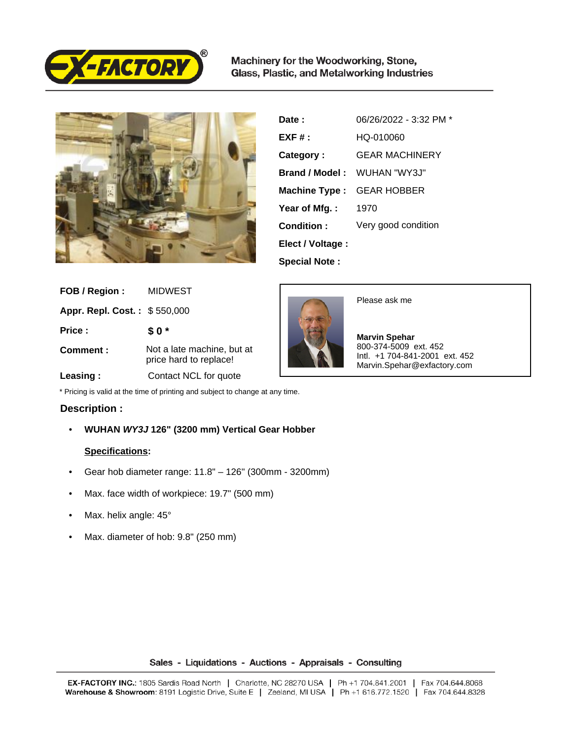

Machinery for the Woodworking, Stone, Glass, Plastic, and Metalworking Industries



| Date :                | 06/26/2022 - 3:32 PM * |
|-----------------------|------------------------|
| $EXF#$ :              | HQ-010060              |
| Category:             | <b>GEAR MACHINERY</b>  |
| <b>Brand / Model:</b> | WUHAN "WY3J"           |
| Machine Type :        | <b>GEAR HOBBER</b>     |
| Year of Mfg.:         | 1970                   |
| Condition:            | Very good condition    |
| Elect / Voltage :     |                        |
| <b>Special Note:</b>  |                        |

| FOB / Region:                | <b>MIDWEST</b>                                       |
|------------------------------|------------------------------------------------------|
| Appr. Repl. Cost.: \$550,000 |                                                      |
| Price:                       | \$0*                                                 |
| Comment:                     | Not a late machine, but at<br>price hard to replace! |
| Leasing:                     | Contact NCL for quote                                |



Please ask me

 **Marvin Spehar** 800-374-5009 ext. 452 Intl. +1 704-841-2001 ext. 452 Marvin.Spehar@exfactory.com

\* Pricing is valid at the time of printing and subject to change at any time.

## **Description :**

• **WUHAN WY3J 126" (3200 mm) Vertical Gear Hobber**

## **Specifications:**

- Gear hob diameter range: 11.8" 126" (300mm 3200mm)
- Max. face width of workpiece: 19.7" (500 mm)
- Max. helix angle: 45°
- Max. diameter of hob: 9.8" (250 mm)

Sales - Liquidations - Auctions - Appraisals - Consulting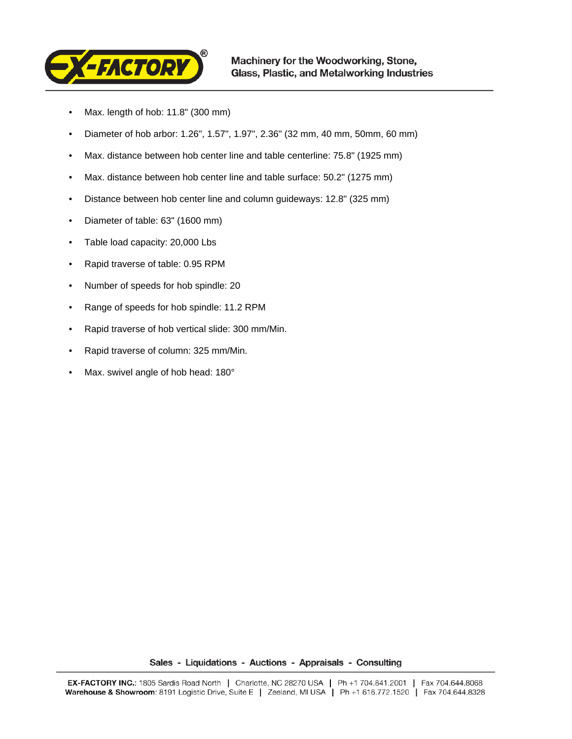

- Max. length of hob: 11.8" (300 mm)
- Diameter of hob arbor: 1.26", 1.57", 1.97", 2.36" (32 mm, 40 mm, 50mm, 60 mm)
- Max. distance between hob center line and table centerline: 75.8" (1925 mm)
- Max. distance between hob center line and table surface: 50.2" (1275 mm)
- Distance between hob center line and column guideways: 12.8" (325 mm)
- Diameter of table: 63" (1600 mm)
- Table load capacity: 20,000 Lbs
- Rapid traverse of table: 0.95 RPM
- Number of speeds for hob spindle: 20
- Range of speeds for hob spindle: 11.2 RPM
- Rapid traverse of hob vertical slide: 300 mm/Min.
- Rapid traverse of column: 325 mm/Min.
- Max. swivel angle of hob head: 180°

Sales - Liquidations - Auctions - Appraisals - Consulting